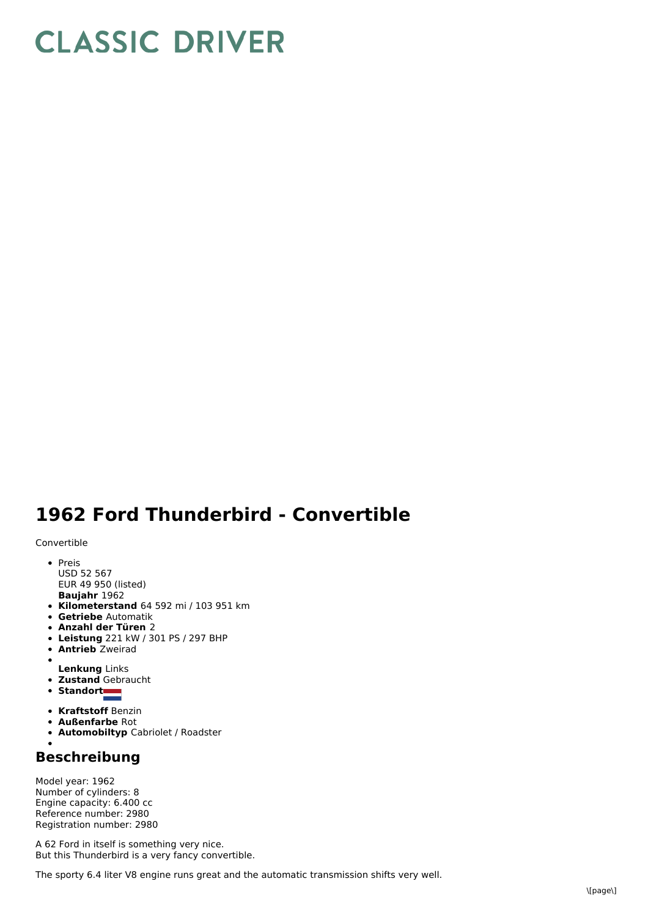## **CLASSIC DRIVER**

## **1962 Ford Thunderbird - Convertible**

Convertible

- **Baujahr** 1962 • Preis USD 52 567 EUR 49 950 (listed)
- **Kilometerstand** 64 592 mi / 103 951 km
- **Getriebe** Automatik
- **Anzahl der Türen** 2
- **Leistung** 221 kW /301 PS / 297 BHP
- **Antrieb** Zweirad
- $\bullet$
- **Lenkung** Links **Zustand** Gebraucht
- Standort
- 
- **Kraftstoff** Benzin
- **Außenfarbe** Rot
- **Automobiltyp** Cabriolet / Roadster

## **Beschreibung**

Model year: 1962 Number of cylinders: 8 Engine capacity: 6.400 cc Reference number: 2980 Registration number: 2980

A 62 Ford in itself is something very nice. But this Thunderbird is a very fancy convertible.

The sporty 6.4 liter V8 engine runs great and the automatic transmission shifts very well.